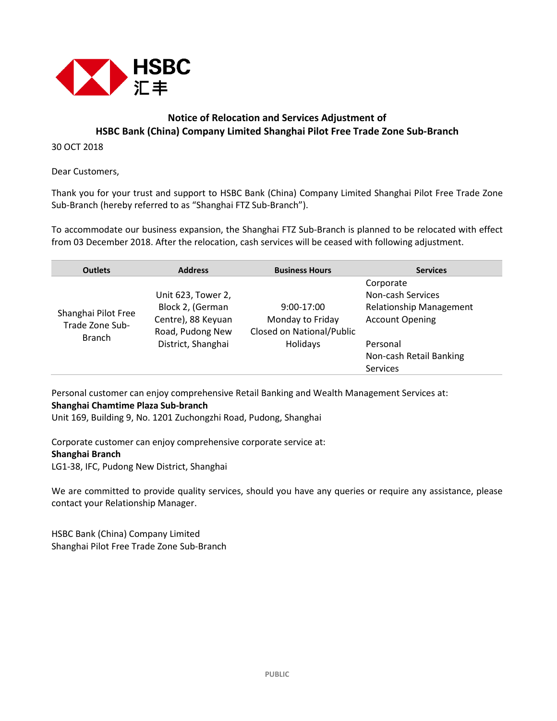

## **Notice of Relocation and Services Adjustment of HSBC Bank (China) Company Limited Shanghai Pilot Free Trade Zone Sub-Branch**

30 OCT 2018

Dear Customers,

Thank you for your trust and support to HSBC Bank (China) Company Limited Shanghai Pilot Free Trade Zone Sub-Branch (hereby referred to as "Shanghai FTZ Sub-Branch").

To accommodate our business expansion, the Shanghai FTZ Sub-Branch is planned to be relocated with effect from 03 December 2018. After the relocation, cash services will be ceased with following adjustment.

| <b>Outlets</b>                                          | <b>Address</b>                                                                                         | <b>Business Hours</b>                                                     | <b>Services</b>                                                                                                                                      |
|---------------------------------------------------------|--------------------------------------------------------------------------------------------------------|---------------------------------------------------------------------------|------------------------------------------------------------------------------------------------------------------------------------------------------|
| Shanghai Pilot Free<br>Trade Zone Sub-<br><b>Branch</b> | Unit 623, Tower 2,<br>Block 2, (German<br>Centre), 88 Keyuan<br>Road, Pudong New<br>District, Shanghai | $9:00-17:00$<br>Monday to Friday<br>Closed on National/Public<br>Holidays | Corporate<br>Non-cash Services<br><b>Relationship Management</b><br><b>Account Opening</b><br>Personal<br>Non-cash Retail Banking<br><b>Services</b> |

Personal customer can enjoy comprehensive Retail Banking and Wealth Management Services at: **Shanghai Chamtime Plaza Sub-branch**

Unit 169, Building 9, No. 1201 Zuchongzhi Road, Pudong, Shanghai

Corporate customer can enjoy comprehensive corporate service at: **Shanghai Branch** LG1-38, IFC, Pudong New District, Shanghai

We are committed to provide quality services, should you have any queries or require any assistance, please contact your Relationship Manager.

HSBC Bank (China) Company Limited Shanghai Pilot Free Trade Zone Sub-Branch